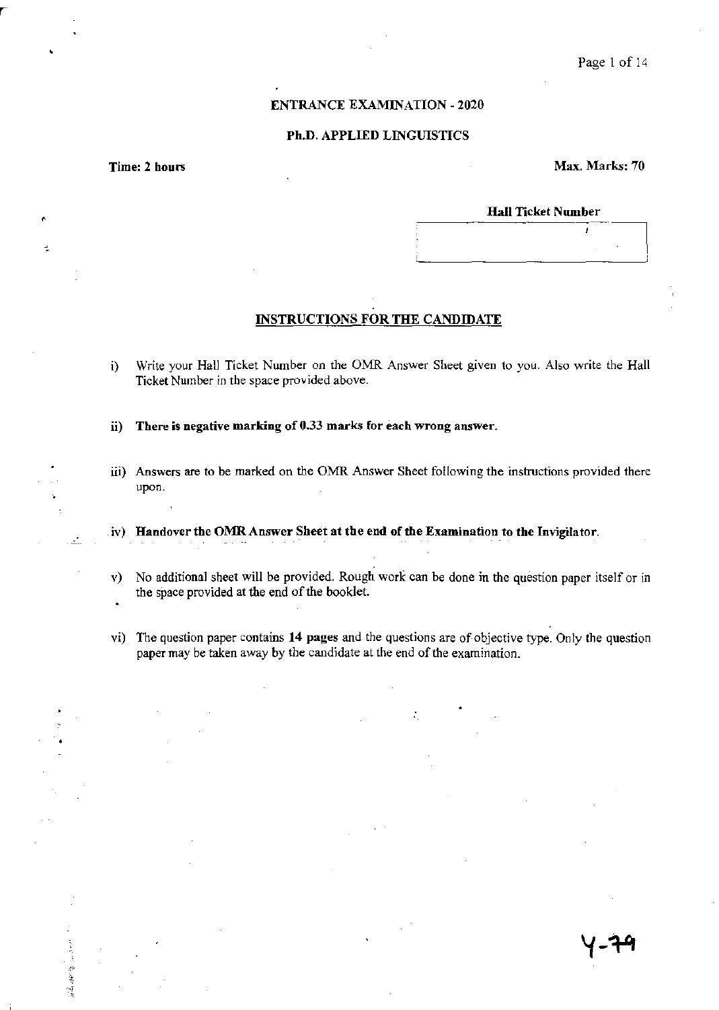# ENTRANCE EXAMINATION - 2020

## Ph.D. APPLIED LINGUISTICS

,

 $\overline{a}$ 

清華學

Time: 2 hours Max. Marks: 70

### Hall Ticket Number

## INSTRUCTIONS FOR THE CANDIDATE

- i) Write your Hall Ticket Number on the OMR Answer Sheet given to you. Also write the Hall Ticket Number in the space provided above.
- ii) There is negative marking of 0.33 marks for each wrong answer.
- iii) Answers are to be marked on the OMR Answer Sheet following the instructions provided there upon.
- $(iv)$  Handover the OMR Answer Sheet at the end of the Examination to the Invigilator.
- v) No additional sheet will be provided. Rough work can be done in the question paper itself or in the space provided at the end of the booklet.
- vi) The question paper contains 14 pages and the questions are of objective type. Only the question paper may be taken away by the candidate at the end of the examination.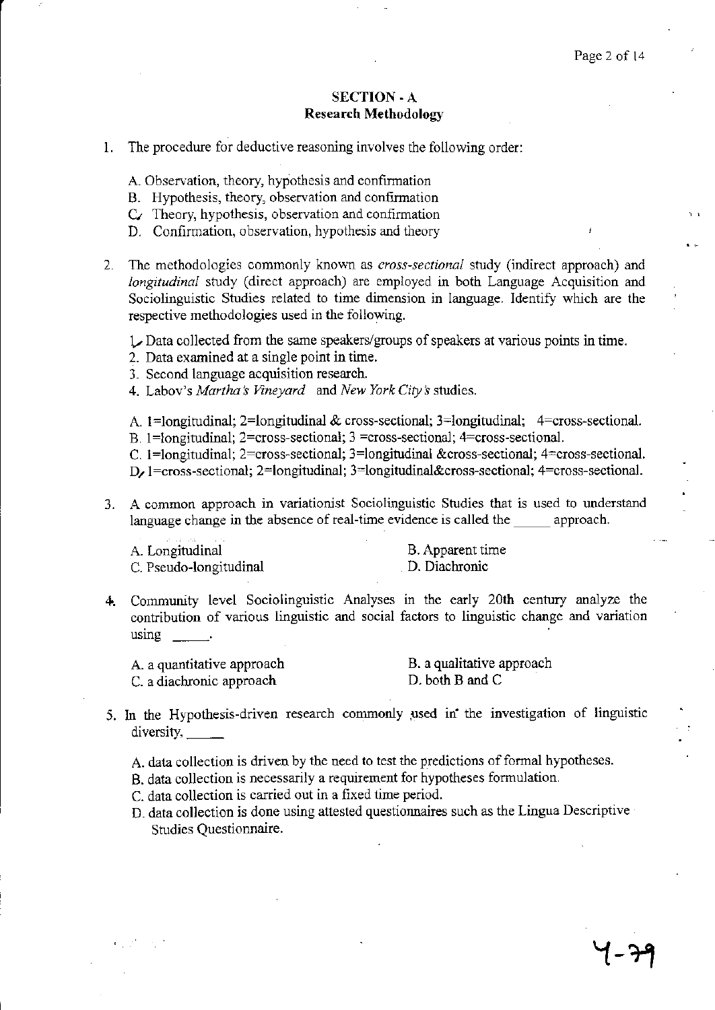# SECTION -A **Research Methodology**

- 1. The procedure for deductive reasoning involves the following order:
	- A. Observation, theory, hypothesis and confinnation
	- B. Hypothesis, theory, observation and confirmation
	- $C_{\ell}$  Theory, hypothesis, observation and confirmation
	- D. Confirmation, observation, hypothesis and theory
- 2. The methodologies commonly known as *cross-sectional* study (indirect approach) and *longitudinal* study (direct approach) are employed in both Language Acquisition and Sociolinguistic Studies related to time dimension in language. Identify which are the respective methodologies used in the following.

*l* Data collected from the same speakers/groups of speakers at various points in time.

- 2. Data examined at a single point in time.
- 3. Second language acquisition research.
- 4. Labov's *Martha:S Vineyard* and *New York City s* studies.
- A. 1=longitudinal; 2=longitudinal & cross-sectional; 3=longitudinal; 4=cross-sectional.
- B. 1=longitudinal; 2=cross-sectional; 3 =cross-sectional; 4=cross-sectional.

C. 1 =longitudinal; 2=cross-sectional; 3=longitudinal &cross-sectional; 4=cross-sectional.

**D/** 1 =cross-sectional; 2=longitudinal; 3=longitudinal&cross-sectional; 4=cross-sectional.

3. A common approach in variationist Sociolinguistic Studies that is used to understand language change in the absence of real-time evidence is called the approach.

A. Longitudinal C. Pseudo-longitudinal

B. Apparent time . D. Diachronic

**4.** Community level Sociolinguistic Analyses in the early 20th century analyze the contribution of various linguistic and social factors to linguistic change and variation using  $\frac{1}{\sqrt{1-\frac{1}{2}}\sqrt{1-\frac{1}{2}}\left\vert \frac{1}{2}\right\vert }$ 

| A. a quantitative approach | B. a qualitative approach |
|----------------------------|---------------------------|
| C. a diachronic approach   | D. both B and C           |

- 5. In the Hypothesis-driven research commonly used in the investigation of linguistic diversity,
	- A. data collection is driven by the need to test the predictions of formal hypotheses.
	- B. data collection is necessarily a requirement for hypotheses fonnulation.

C. data collection is carried out in a fixed time period.

D. data collection is done using attested questionnaires such as the Lingua Descriptive Studies Questionnaire.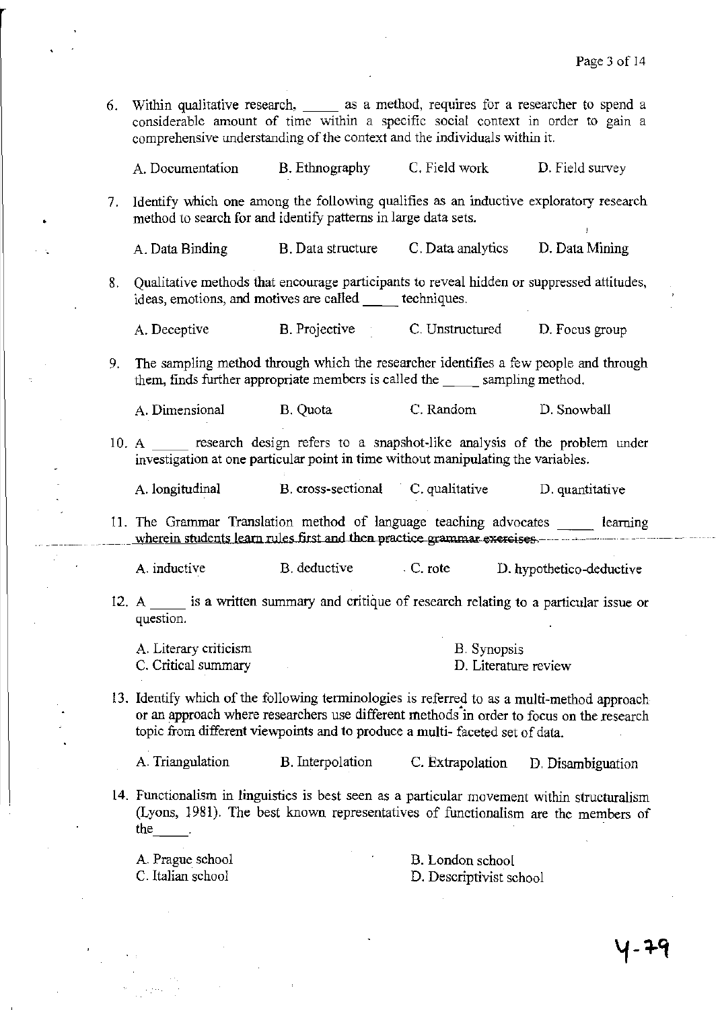- 6. Within qualitative research, \_\_ as a method, requires for a researcher to spend a considerable amount of time within a specific social context in order to gain a comprehensive understanding of the context and the individuals within it. A. Documentation B. Ethnography C. Field work D. Field survey
- 7. Identify which one among the following qualifies as an inductive exploratory research method to search for and identify patterns in large data sets.

A. Data Binding B. Data structure C. Data analytics D. Data Mining

8. Qualitative methods that encourage participants to reveal hidden or suppressed attitudes, ideas, emotions, and motives are called techniques.

A. Deceptive B. Projective C. Unstructured D. Focus group

9. The sampling method through which the researcher identifies a few people and through them, finds further appropriate members is called the \_\_\_\_\_ sampling method.

A. Dimensional B. Quota C.Random D. Snowball

10. A research design refers to a snapshot-like analysis of the problem under investigation at one particular point in time without manipulating the variables.

A. longitudinal B. cross-sectional C. qualitative D. quantitative

11. The Grammar Translation method of language teaching advocates \_\_ learning wherein students learn rules first and then practice grammar exercises. \_\_\_\_\_\_

A. inductive B. deductive . C. rote D. hypothetico-deductive

12. A same is a written summary and critique of research relating to a particular issue or question.

| A. Literary criticism | B. Synopsis          |
|-----------------------|----------------------|
| C. Critical summary   | D. Literature review |

13. Identify which of the following tenninologies is referred to as a multi-method approach or an approach where researchers use different methods in order to focus on the research topic from different viewpoints and to produce a multi- faceted set of data.

A. Triangulation B. Interpolation C. Extrapolation D. Disambiguation

14. Functionalism in linguistics is best seen as a particular movement within structuralism (Lyons, 1981). The best known representatives of functionalism are the members of the

A. Prague school c. Italian school

•

B. London school D. Descriptivist school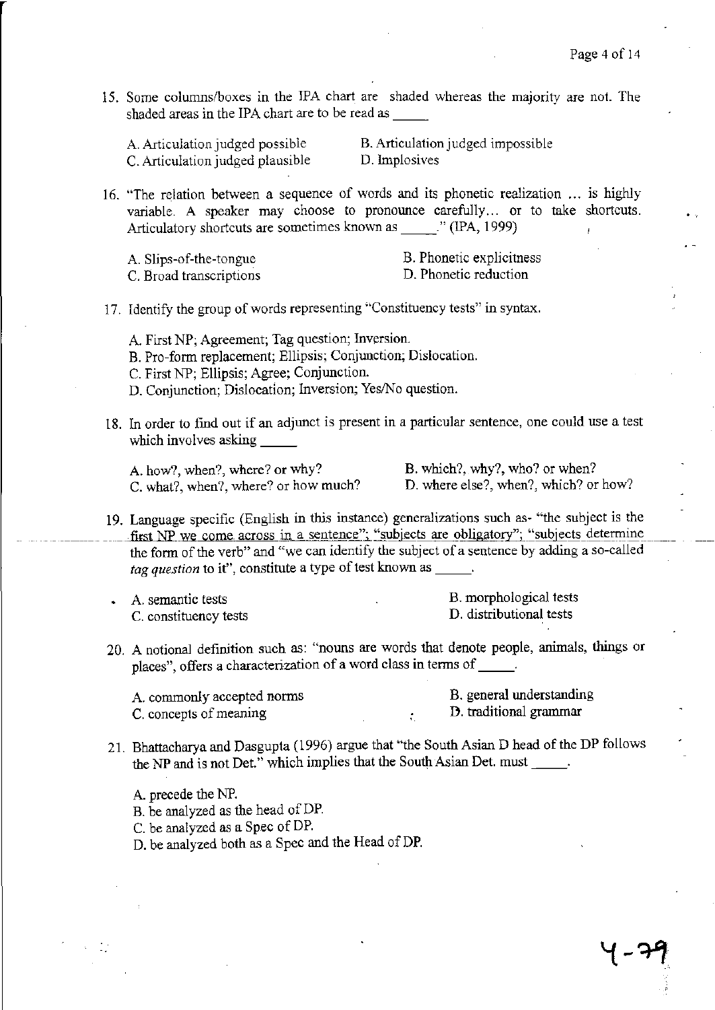15. Some columns/boxes in the IPA chart are shaded whereas the majority are not. The shaded areas in the IPA chart are to be read as

|  |  | A. Articulation judged possible  |
|--|--|----------------------------------|
|  |  | C. Articulation judged plausible |

B. Articulation judged impossible D. Implosives

16. "The relation between a sequence of words and its phonetic realization ... is highly variable. A speaker may choose to pronounce carefully... or to take shortcuts. Articulatory shortcuts are sometimes known as ... (IPA, 1999)

A. Slips-of-the-tongue C. Broad transcriptions B. Phonetic explicitness D. Phonetic reduction

17. Identify the group of words representing "Constituency tests" in syntax.

- A. First NP; Agreement; Tag question; Inversion. B. Pro-form replacement; Ellipsis; Conjunction; Dislocation.
- C. First NP; Ellipsis; Agree; Conjunction.
- D. Conjunction; Dislocation; Inversion; Yes/No question.
- 18. In order to find out if an adjunct is present in a particular sentence, one could use a test which involves asking  $\frac{1}{\sqrt{2}}$

A. how?, when?, where? or why? B. which?, why?, who? or when? C. what?, when?, where? or how much? D. where else?, when?, which? or how?

- 19. Language specific (English in this instance) generalizations such as- "the subject is the first NP we come across in a sentence": "subjects are obligatory"; "subjects determine the form of the verb" and "we can identify the subject of a sentence by adding a so-called *tag question* to it", constitute a type of test known as  $\qquad \qquad$ .
- A. semantic tests C. constituency tests

B. morphological tests D. distributional tests

20. A notional definition such as: "nouns are words that denote people, animals, things or places", offers a characterization of a word class in terms of \_\_\_\_\_.

A. commonly accepted norms C. concepts of meaning

B. general understanding 13. traditional grammar

21. Bhattacharya and Dasgupta (1996) argue that "the South Asian D head of the DP follows the NP and is not Det." which implies that the South Asian Det. must \_\_\_\_\_.

 $\cdot$ 

A. precede the NP.

B. be analyzed as the head of DP.

C. be analyzed as a Spec of DP.

D. be analyzed both as a Spec and the Head of DP.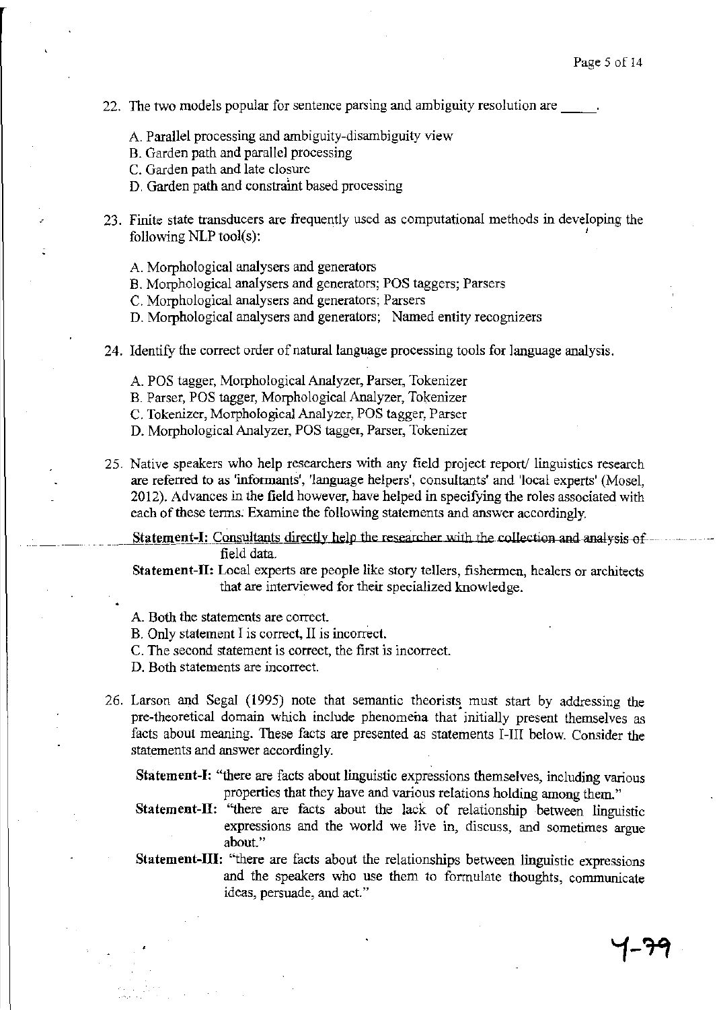- 22. The two models popular for sentence parsing and ambiguity resolution are
	- A Parallel processing and ambiguity-disambiguity view
	- B. Garden path and parallel processing
	- C. Garden path and late closure
	- D. Garden path and constraint based processing
- 23. Finite state transducers are frequently used as computational methods in developing the following NLP tool(s):
	- A Morphological analysers and generators
	- B. Morphological analysers and generators; POS taggers; Parsers
	- C. Morphological analysers and generators; Parsers
	- D. Morphological analysers and generators; Named entity recognizers
- 24. Identify the correct order of natural language processing tools for language analysis.
	- A POS tagger, Morphological Analyzer, Parser, Tokenizer
	- B. Parser, POS tagger, Morphological Analyzer, Tokenizer
	- C. Tokenizer, Morphological Analyzer, POS tagger, Parser
	- D. Morphological Analyzer, POS tagger, Parser, Tokenizer
- 25. Native speakers who help researchers with any field project report' linguistics research are referred to as 'informants', 'language helpers', consultants' and 'local experts' (Mosel, 2012). Advances in the field however, have helped in specifying the roles associated with each of these tenns. Examine the following statements and answer accordingly.

Statement-I: Consultants directly help the researcher with the collection and analysis of field data.

**Statement-II:** Local experts are people like story tellers, fishermen, healers or architects that are interviewed for their specialized knowledge.

- A. Both the statements are correct.
- B. Only statement I is correct, II is incorrect.
- C. The second statement is correct, the first is incorrect.
- D. Both statements are incorrect.
- 26. Larson and Segal (1995) note that semantic theorists must start by addressing the pre-theoretical domain which include phenomena that initially present themselves as facts about meaning. These facts are presented as statements I-III below. Consider the statements and answer accordingly.
	- **Statement-I:** "there are facts about linguistic expressions themselves, including various properties that they have and various relations holding among them."
	- **Statement-II:** "there are facts about the lack of relationship between linguistic expressions and the world we live in, discuss, and sometimes argue about."
	- **Statement-III:** "there are facts about the relationships between linguistic expressions and the speakers who use them to formulate thoughts, communicate ideas, persuade, and act."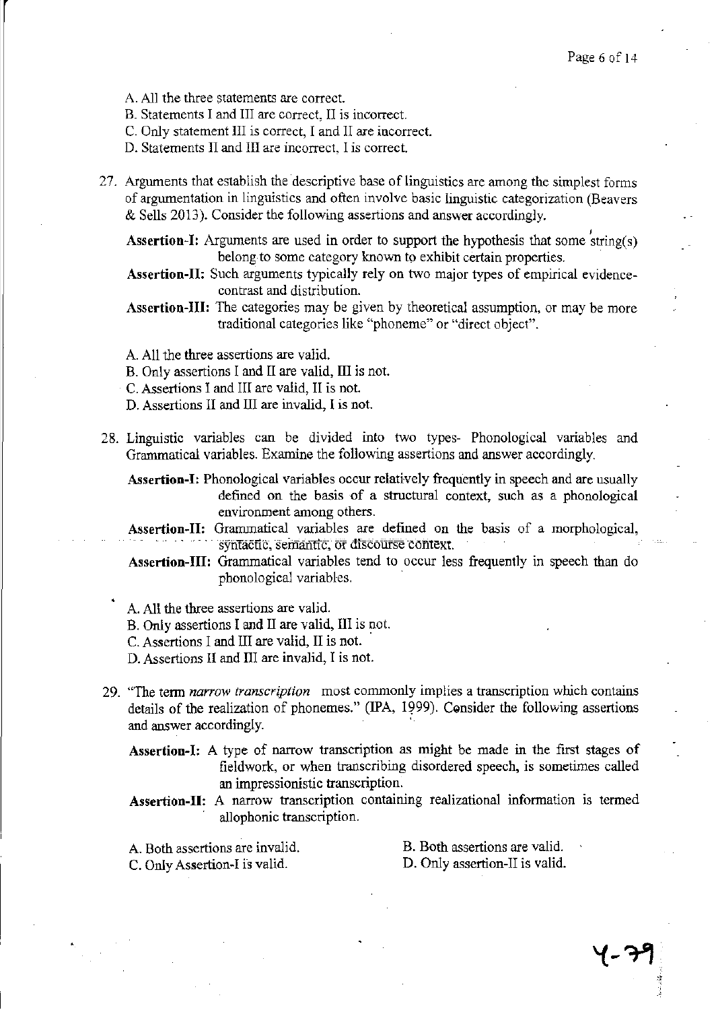A. All the three statements are correct.

B. Statements I and III are correct, II is incorrect.

C. Only statement III is correct, I and II are incorrect.

D. Statements II and III are incorrect, I is correct.

27. Arguments that establish the descriptive base of linguistics are among the simplest forms of argumentation in linguistics and often involve basic linguistic categorization (Beavers & Sells 2013). Consider the following assertions and answer accordingly.<br>Assertion-I: Arguments are used in order to support the hypothesis that some string(s)

belong to some category known to exhibit certain properties.

Assertion-II: Such arguments typically rely on two major types of empirical evidencecontrast and distribution.

- Assertion-III: The categories may be given by theoretical assumption, or may be more traditional categories like "phoneme" or "direct object".
- A. All the three assertions are valid.
- B. Only assertions I and II are valid, III is not.
- C. Assertions I and III are valid, II is not.
- D. Assertions II and III are invalid, I is not.
- 28. Linguistic variables can be divided into two types- Phonological variables and Grammatical variables. Examine the following assertions and answer accordingly.

Assertion-I: Phonological variables occur relatively frequently in speech and are usually defined on the basis of a structural context, such as a phonological environment among others.

Assertion-II: Grammatical variables are defined on the basis of a morphological, syntactic, semantic, or discourse context.

Assertion-III: Grammatical variables tend to occur less frequently in speech than do phonological variables.

A. All the three assertions are valid.

B. Only assertions I and II are valid, III is not.

C. Assertions I and III are valid, II is not.

D. Assertions II and III are invalid, I is not.

- 29. "The tenn *narrow transcription* most commonly implies a transcription which contains details of the realization of phonemes." (IPA, 1999). Consider the following assertions and answer accordingly.
	- Assertion-I: A type of narrow transcription as might be made in the first stages of fieldwork, or when transcribing disordered speech, is sometimes called an impressionistic transcription.
	- Assertion-II: A narrow transcription containing realizational information is termed allophonic transcription.

A. Both assertions are invalid. C. Only Assertion-I is valid.

B. Both assertions are valid. D. Only assertion-II is valid.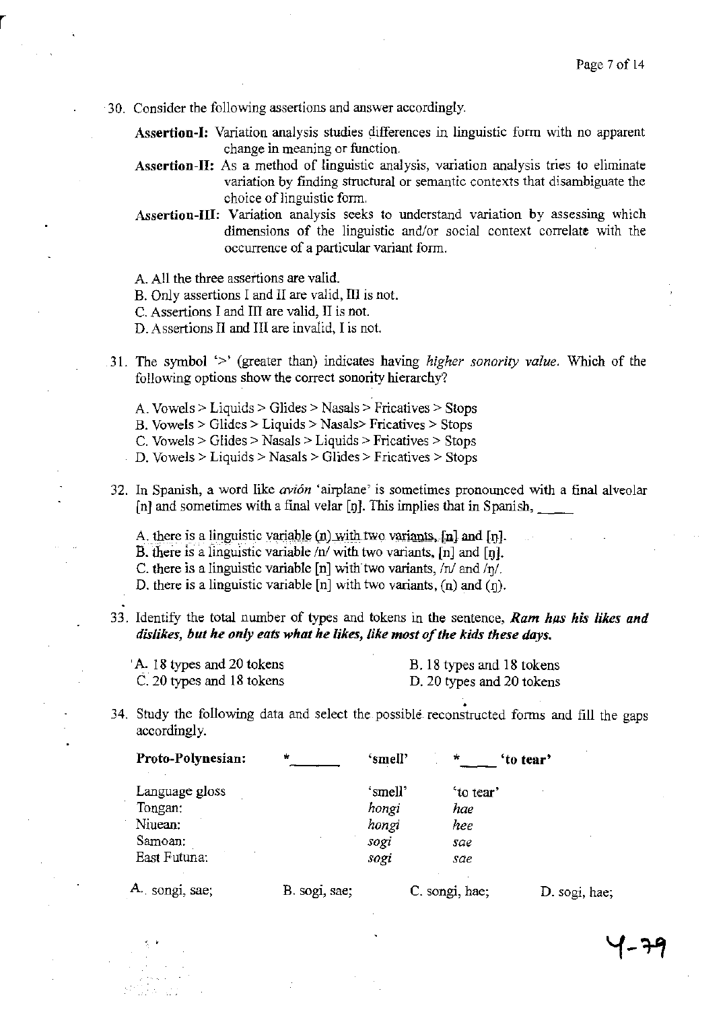30. Consider the following assertions and answer accordingly.

Assertion-I: Variation analysis studies differences in linguistic form with no apparent change in meaning or function.

- Assertion-II: As a method of linguistic analysis, variation analysis tries to eliminate variation by finding structural or semantic contexts that disambiguate the choice of linguistic form.
- Assertion-III: Variation analysis seeks to understand variation by assessing which dimensions of the linguistic and/or social context correlate with the occurrence of a particular variant form.
- A All the three assertions are valid.
- B. Only assertions I and II are valid, III is not.
- C. Assertions I and III are valid, II is not.
- D. Assertions II and III are invalid, I is not.
- 31. The symbol '>' (greater than) indicates having *higher sonority value.* Which of the following options show the correct sonority hierarchy?
	- A. Vowels> Liquids> Glides> Nasals> Fricatives> Stops
	- B. Vowels> Glides> Liquids> Nasals> Fricatives> Stops
	- C. Vowels> Glides> Nasals> Liquids> Fricatives> Stops

D. Vowels> Liquids> Nasals> Glides> Fricatives> Stops

- 32. In Spanish, a word like *avi6n* 'airplane' is sometimes pronounced with a final alveolar [n] and sometimes with a final velar [n]. This implies that in Spanish,  $\qquad$ 
	- A. there is a linguistic variable  $(n)$  with two variants,  $[n]$  and  $[n]$ .

B. there is a linguistic variable  $/n/$  with two variants,  $[n]$  and  $[n]$ .

C. there is a linguistic variable [n] with two variants,  $/n/$  and  $/n/$ .

D. there is a linguistic variable  $[n]$  with two variants,  $(n)$  and  $(n)$ .

33. Identify the total number of types and tokens in the sentence, *Ram has his likes and dislikes, but he only eats what he likes, like most of the kids these days.* 

'A. 18 types and 20 tokens C. 20 types and 18 tokens

B. 18 types and 18 tokens D. 20 types and 20 tokens

. 34. Study the following data and select the possible. reconstructed fonns and fill the gaps accordingly.

| Proto-Polynesian: | $\star$       | 'smell' | $\star$        | 'to tear'     |
|-------------------|---------------|---------|----------------|---------------|
| Language gloss    |               | 'smell' | 'to tear'      |               |
| Tongan:           |               | hongi   | hae            |               |
| Niuean:           |               | hongi   | hee            |               |
| Samoan:           |               | sogi    | sae            |               |
| East Futuna:      |               | sogi    | sae            |               |
| 4. songi, sae;    | B. sogi, sae; |         | C. songi, hae; | D. sogi, hae; |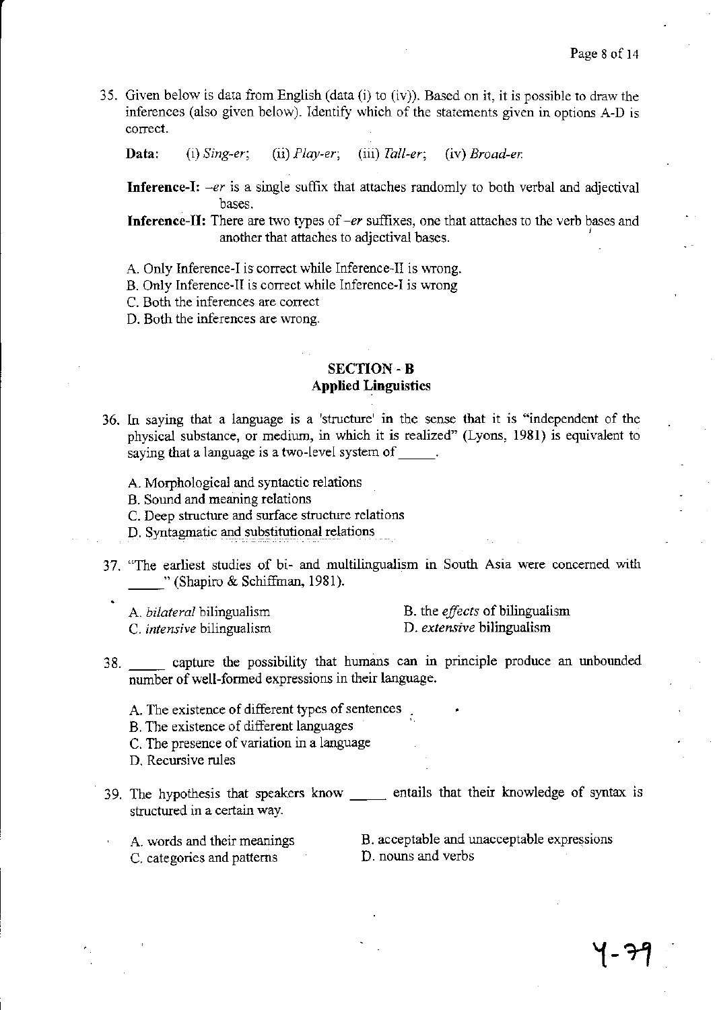35. Given below is data from English (data (i) to (iv)). Based on it, it is possible to draw the inferences (also given below). Identify which of the statements given in options A-D is correct.

Data: (i) *Sing-er;* (ii) *Play-er;* (iii) *Tall-er;* (iv) *Broad-er* 

**Inference-I:**  $-er$  is a single suffix that attaches randomly to both verbal and adjectival bases.

**Inference-II:** There are two types of  $-er$  suffixes, one that attaches to the verb bases and another that attaches to adjectival bases.

- A. Only Inference-I is correct while Inference-II is wrong.
- B. Only Inference-II is correct while Inference-I is wrong
- C. Both the inferences are correct
- D. Both the inferences are wrong.

# SECTION -B **Applied Linguistics**

- 36. In saying that a language is a 'structure' in the sense that it is "independent of the physical substance, or medium, in which it is realized" (Lyons, 1981) is equivalent to saying that a language is a two-level system of \_\_\_\_\_.
	- A. Morphological and syntactic relations
	- B. Sound and meaning relations
	- C. Deep structure and surface structure relations
	- D. Syntagmatic and substitutional relations
- 37. "The earliest studies of bi- and multilingualism in South Asia were concerned with "(Shapiro & Schiffman, 1981).
	- A. *bilateral* bilingualism C. *intensive* bilingualism
- B. the *effects* of bilingualism D. *extensive* bilingualism
- 38. capture the possibility that humans can in principle produce an unbounded number of well-formed expressions in their language.
	- A. The existence of different types of sentences
	- B. The existence of different languages
	- C. The presence of variation in a language
	- D, Recursive rules
- 39. The hypothesis that speakers know \_\_\_\_\_\_ entails that their knowledge of syntax is structured in a certain way.
	- A. words and their meanings C. categories and patterns
- B. acceptable and unacceptable expressions D. nouns and verbs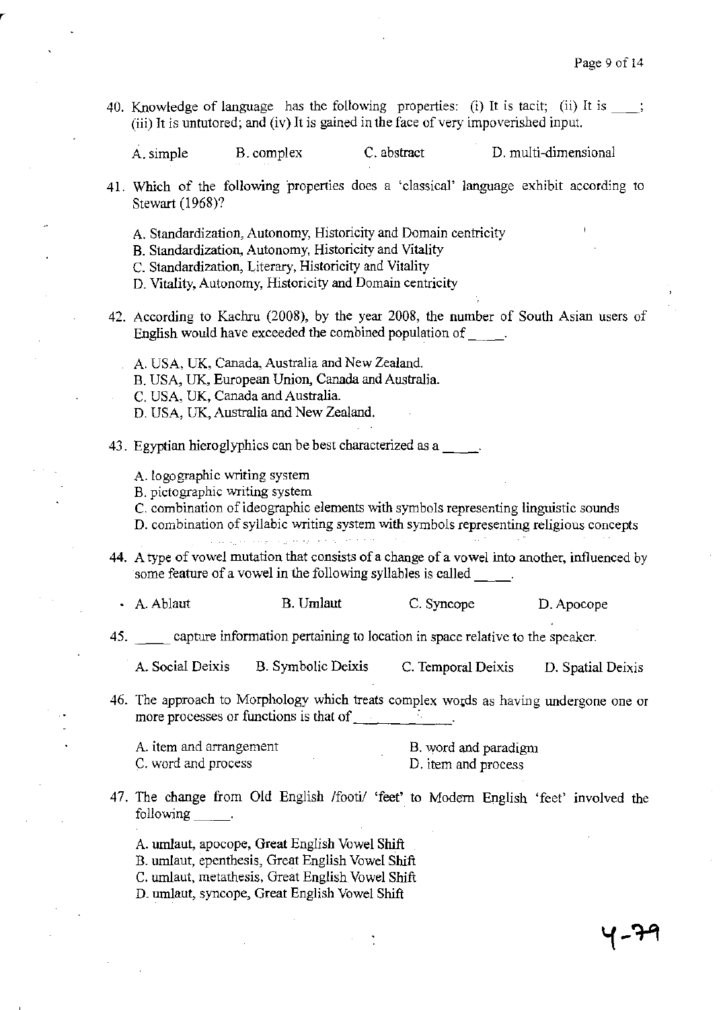५-२१

40. Knowledge of language has the following properties: (i) It is tacit; (ii) It is  $\_\_\_\$ ; (iii) It is untutored; and (iv) It is gained in the face of very impoverished input.

A. simple B.complex C. abstract D. multi-dimensional

- 41. Which of the following properties does a 'classical' language exhibit according to Stewart (1968)?
	- A. Standardization, Autonomy, Historicity and Domain centricity
	- B. Standardization, Autonomy, Historicity and Vitality
	- C. Standardization, Literary, Historicity and Vitality
	- D. Vitality, Autonomy, Historicity and Domain centricity
- 42. According to Kachru (2008), by the year 2008, the number of South Asian users of English would have exceeded the combined population of  $\qquad$ .
	- A. USA, UK, Canada, Australia and New Zealand.
	- B. USA, UK, European Union, Canada and Australia.
	- C. USA, UK, Canada and Australia.
	- D. USA, UK, Australia and New Zealand.
- 43. Egyptian hieroglyphics can be best characterized as a  $\frac{1}{\sqrt{2}}$ .
	- A.logographic writing system
	- B. pictographic writing system
	- C. combination of ideographic elements with symbols representing linguistic sounds
	- D. combination of syllabic writing system with symbols representing religious concepts

الرجاح والموجا فجارته الشاعبين التناولين والتين

- 44. A type of vowel mutation that consists of a change of a vowel into another, influenced by some feature of a vowel in the following syllables is called  $\qquad$ .
	- A. Ablaut B. Umlaut C. Syncope D. Apocope
- 45. \_\_ capture infonnation pertaining to location in space relative to the speaker.
	- A. Social Deixis B. Symbolic Deixis C. Temporal Deixis D. Spatial Deixis
- 46. The approach to Morphology which treats complex wotds as having undergone one or more processes or functions is that of  $\frac{1}{\sqrt{2}}$

| A. item and arrangement |  | B. word and paradigm |
|-------------------------|--|----------------------|
| C. word and process     |  | D. item and process  |

47. The change from Old English /footi/ 'feet' to Modern English 'feet' involved the following \_\_\_\_\_\_.

A. umlaut, apocope, Great English Vowel Shift

- B. umlaut, epenthesis, Great English Vowel Shift
- c. umlaut, metathesis, Great English Vowel Shift
- D. umlaut, syncope, Great English Vowel Shift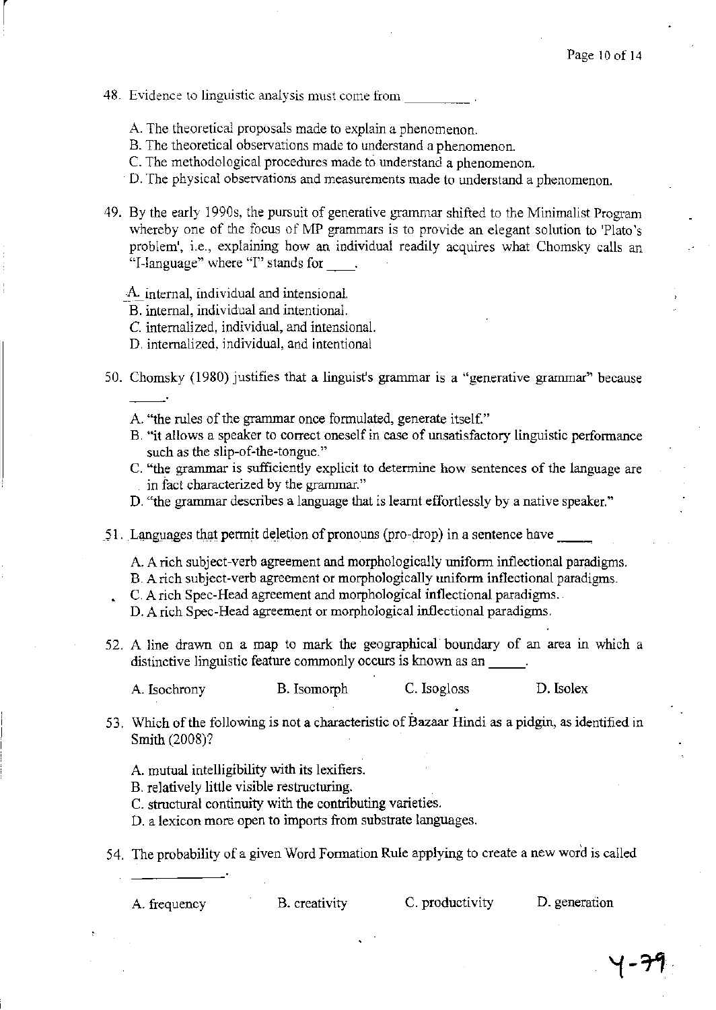48. Evidence to linguistic analysis must come from

 $\begin{bmatrix} \phantom{-} \end{bmatrix}$ 

- A. The theoretical proposals made to explain a phenomenon.
- S. The theoretical observations made to understand a phenomenon.
- C. The methodological procedures made to understand a phenomenon.
- D. The physical observations and measurements made to understand a phenomenon.
- 49. By the early 19905, the pursuit of generative grammar shifted to the Minimalist Program whereby one of the focus of MP grammars is to provide an elegant solution to 'Plato's problem', i.e., explaining how an individual readily acquires what Chomsky calls an "I-language" where "I" stands for .
	- ~~\_ internal, individual and intensional.
	- B. internal, individual and intentional.
	- C. internalized, individual, and intensional.
	- D. internalized, individual, and intentional
- 50. Chomsky (1980) justifies that a linguist's grammar is a "generative grammar" because
	- A. "the rules of the grammar once formulated, generate itself."
	- B. "it allows a speaker to correct oneself in case of unsatisfactory linguistic performance such as the slip-of-the-tongue."
	- C. "the grammar is sufficiently explicit to determine how sentences of the language are in fact characterized by the grammar."
	- D. "the grammar describes a language that is learnt effortlessly by a native speaker."
- $\leq$ 1. Languages that permit deletion of pronouns (pro-drop) in a sentence have
	- A. A rich subject-verb agreement and morphologically uniform inflectional paradigms.
	- B. A rich subject-verb agreement or morphologically uniform inflectional paradigms.
	- C. A rich Spec-Head agreement and morphological inflectional paradigms.
	- D. A rich Spec-Head agreement or morphological inflectional paradigms.
- 52. A line drawn on a map to mark the geographical boundary of an area in which a distinctive linguistic feature commonly occurs is known as an

A. Isochrony B. Isomorph C.Isogloss D.Isolex

- 53. Which of the following is not a characteristic of Bazaar Hindi as a pidgin, as identified in Smith (2008)?
	- A. mutual intelligibility with its lexifiers.
	- B. relatively little visible restructuring.
	- C. structural continuity with the contributing varieties.

D. a lexicon more open to imports from substrate languages.

54. The probability of a given Word Formation Rule applying to create a new word is called

A. frequency B. creativity C. productivity D. generation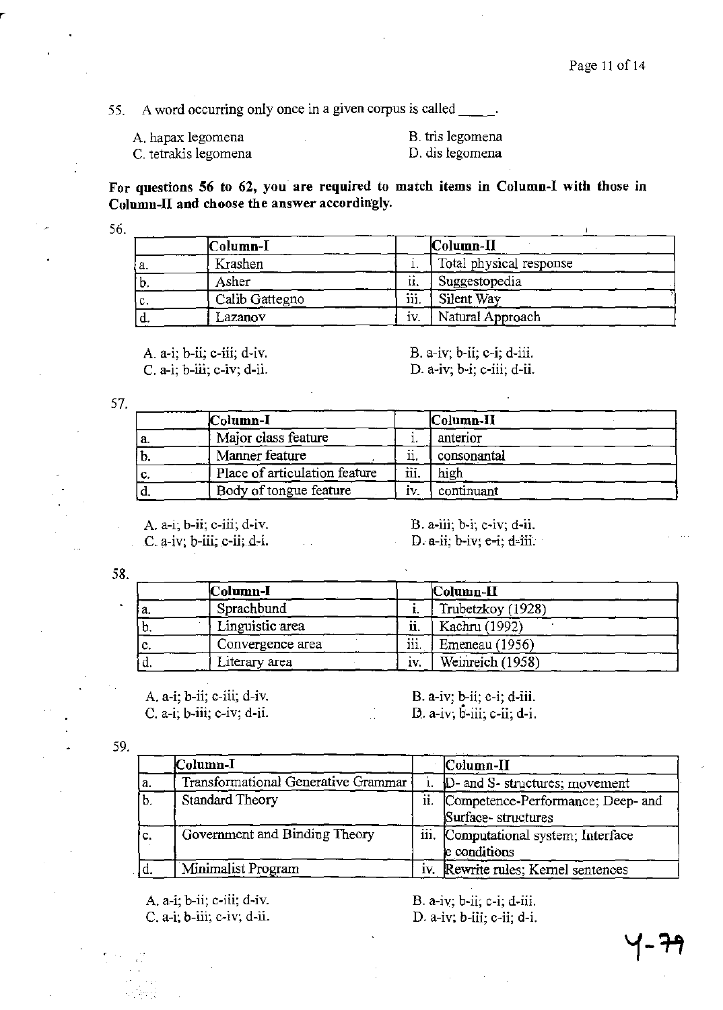55. A word occurring only once in a given corpus is called  $\frac{1}{\sqrt{1-\frac{1}{n}}}$ .

A. hapax legomena C. tetrakis legomena B. tris legomena D. dis legomena

**For questions 56 to 62,** you· **are required to match items in Column-I with those in Column-II and choose the answer accordingly.** 

56.

|     | Column-I       |      | $ $ Column- $\Pi$       |  |
|-----|----------------|------|-------------------------|--|
| а.  | Krashen        |      | Total physical response |  |
| b.  | Asher          | ii.  | Suggestopedia           |  |
| IC. | Calib Gattegno | iii. | Silent Way              |  |
| ιū. | Lazanov        | IV.  | Natural Approach        |  |

A. a-I; b-ii; c-iii; d-iv. e. a-i; b-iii; c-iv; d-ii. B. a-IV; b-ii; c-i; d-iii. D. a-IV; b-i; c-iii; d-ii.

57.

|    | Column-I                      |         | Column-II   |  |
|----|-------------------------------|---------|-------------|--|
| a. | Major class feature           |         | anterior    |  |
| b. | Manner feature                | <br>11. | consonantal |  |
| c. | Place of articulation feature | iii.    | high        |  |
|    | Body of tongue feature        | IV.     | continuant  |  |

A. a-i; b-ii; c-iii; d-iv.  $C. a-iv; b-iii; c-ii; d-i.$  B. a-iii; b-i; c-iv; d-ii. D. a-ii;  $b$ -iv;  $c$ -i; d-iii.

58.

|     | Column-I         |          | Column-II         |  |
|-----|------------------|----------|-------------------|--|
| ۰а. | Sprachbund       |          | Trubetzkoy (1928) |  |
| υ.  | Linguistic area  | <br>11.  | Kachru (1992)     |  |
| c.  | Convergence area | <br>111. | Emeneau (1956)    |  |
| ٠u. | Literary area    | IV.      | Weinreich (1958)  |  |

 $\mathcal{L}^{\mathcal{L}}$ 

A. a-I; b-ii; c-iii; d-iv. C. a-I; b-iii; c-iv; d-ii. B. a-iv; b-ii; c-i; d-iii. D. a-IV; b-iii; c-ii; d-i.

| ٠ |  |
|---|--|
|   |  |

|     | Column-I                            |     | $\lfloor$ Column-II                                     |
|-----|-------------------------------------|-----|---------------------------------------------------------|
| a.  | Transformational Generative Grammar |     | D- and S- structures; movement                          |
| b.  | <b>Standard Theory</b>              | ii. | Competence-Performance; Deep- and<br>Surface-structures |
| İο. | Government and Binding Theory       |     | iii. Computational system; Interface<br>e conditions    |
|     | Minimalist Program                  | İV. | Rewrite rules; Kernel sentences                         |

A. a-I; b-ii; c-iii; d-iv. C. a-i; b-iii; c-iv; d-ii. B. a-IV; b-ii; c-i; d-iii. D. a-IV; b-iii; c-ii; d-i.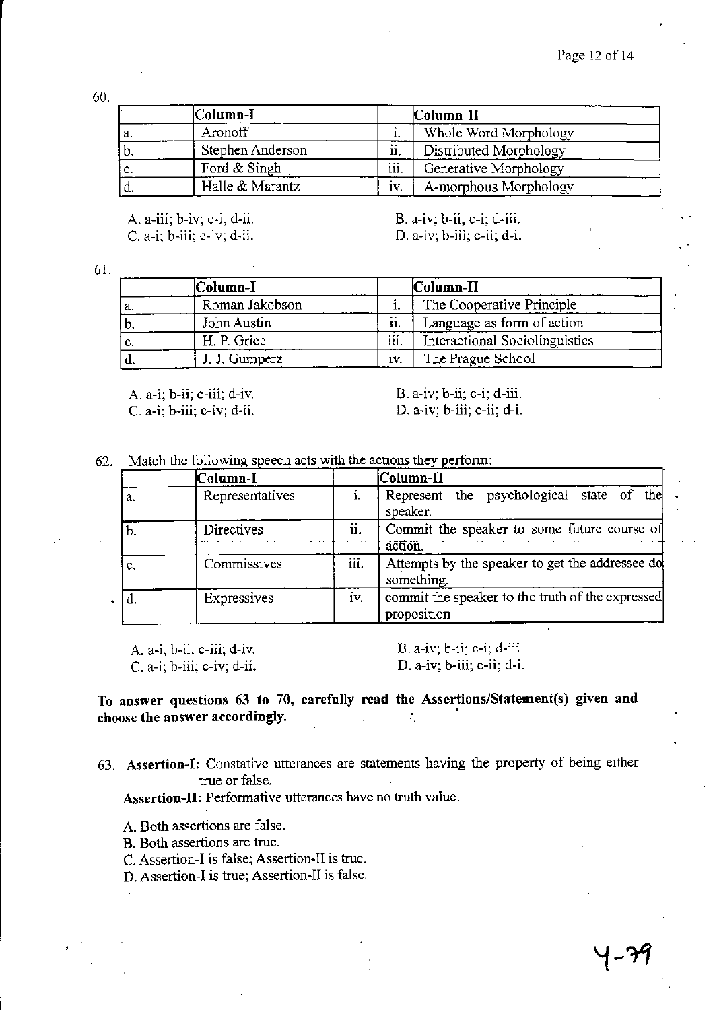60.

|      | Column-I         |      | Column-II              |  |
|------|------------------|------|------------------------|--|
| ۰a.  | Aronoff          |      | Whole Word Morphology  |  |
| ' D. | Stephen Anderson | ij,  | Distributed Morphology |  |
| c.   | Ford & Singh     | iii. | Generative Morphology  |  |
| ч.   | Halle & Marantz  | İV.  | A-morphous Morphology  |  |

A. a-iii; b-iv; c-i; d-ii. C. a-i; b-iii; c-iv; d-ii.

B. a-iv; b-ii; c-i; d-iii. D. a-iv; b-iii; c-ii; d-i.

61.

|     | Column-I       |      | $\mathbf{\textcolor{blue}{Column-II}}$ |
|-----|----------------|------|----------------------------------------|
| ٠а. | Roman Jakobson | ı.   | The Cooperative Principle              |
| ۱b. | John Austin    | ii.  | Language as form of action             |
| IC. | H. P. Grice    | iii. | Interactional Sociolinguistics         |
| u.  | J. J. Gumperz  | IV.  | The Prague School                      |

A. a-i; b-ii; c-iii; d-iv. C. a-i; b-iii; c-iv; d-ii. B. a-iv; b-ii; c-i; d-iii. D. a-iv; b-iii; c-ii; d-i.

62. Match the following speech acts with the actions they perform:

|    | Column-I                                                            |      | Column-II                                                                                |  |
|----|---------------------------------------------------------------------|------|------------------------------------------------------------------------------------------|--|
| a. | Representatives                                                     |      | Represent the psychological state of the<br>speaker.                                     |  |
| b. | Directives<br>o serie <del>de</del> es<br>are to company of the ex- | ii.  | Commit the speaker to some future course of<br>translation in the probability<br>action. |  |
| c. | Commissives                                                         | iii. | Attempts by the speaker to get the addressee do<br>something.                            |  |
|    | Expressives                                                         | iv.  | commit the speaker to the truth of the expressed<br>proposition                          |  |

A. a-i, b-ii; c-iii; d-iv. C. a-i; b-iii; c-iv; d-ii.

B. a-iv; b-ii; c-i; d-iii. D. a-iv; b-iii; c-ii; d-i.

To answer questions 63 to 70, carefully read the Assertions/Statement(s) given and choose the answer accordingly.  $\ddot{\cdot}$ 

63. Assertion-I: Constative utterances are statements having the property of being either true or false.

Assertion-II: Performative utterances have no truth value.

A. Both assertions are false.

B. Both assertions are true.

C. Assertion-I is false; Assertion-II is true.

D. Assertion-I is true; Assertion-II is false.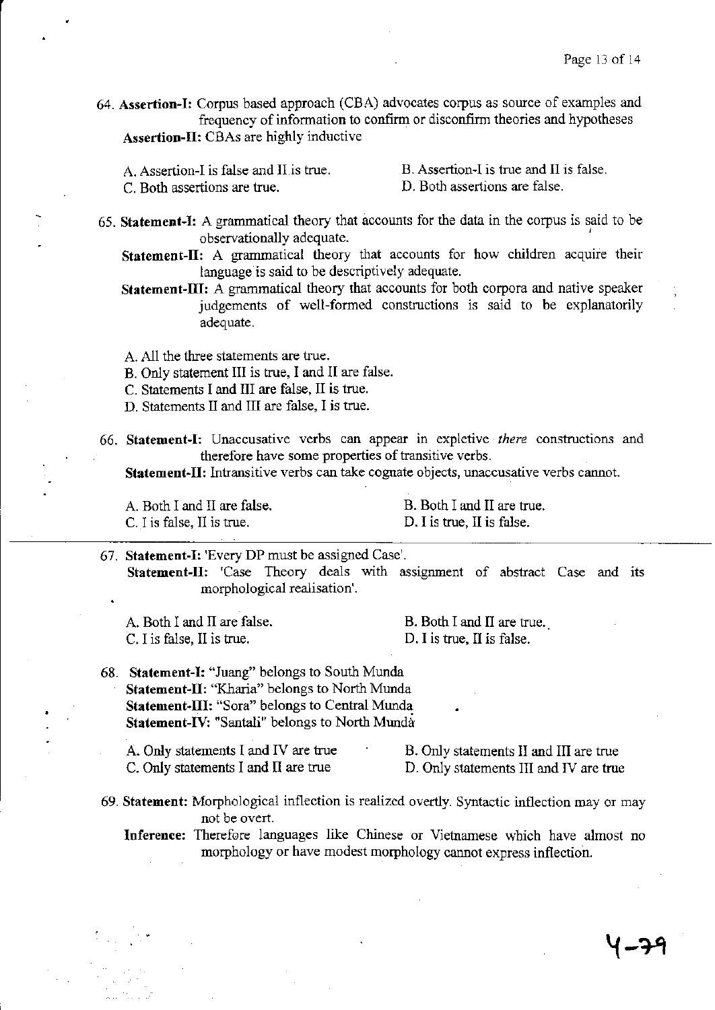64. **Assertion-I:** Corpus based approach (CBA) advocates corpus as source of examples and frequency of information to confirm or disconfirm theories and hypotheses Assertion-II: CBAs are highly inductive

- A. Assertion-I is false and II is true.
- B. Assertion-I is true and II is false.

C. Both assertions are true.

D. Both assertions are false.

- 65. **Statement-I:** A grammatical theory that accounts for the data in the corpus is said to be observationally adequate.
	- **Statement-ll:** A grammatical theory that accounts for how children acquire their language is said to be descriptively adequate.
	- **Statement-III:** A grammatical theory that accounts for both corpora and native speaker judgements of well-formed constructions is said to be explanatorily adequate.

A. All the three statements are true.

- B. Only statement III is true, I and II are false.
- C. Statements I and III are false, II is true.
- D. Statements II and III are false, I is true.
- 66. **Statement-I:** Unaccusative verbs can appear in expletive *there* constructions and therefore have some properties of transitive verbs.

**Statement-II:** Intransitive verbs can take cognate objects, unaccusative verbs cannot.

A. Both I and II are false. C. I is false, II is true.

B. Both I and II are true. D. I is true, II is false.

67. **Statement-I:** 'Every DP must be assigned Case'. Statement-II: 'Case Theory deals with assignment of abstract Case and its morphological realisation'.

A. Both I and II are false. C. I is false, II is true.

B. Both I and II are true. D. I is true, II is false.

- 68. **Statement-I:** "Juang" belongs to South Munda **Statement-II:** "Kharia" belongs to North Munda **Statement-III:** "Sora" belongs to Central Munda Statement-IV: "Santali" belongs to North Munda
	- A. Only statements I and IV are true C. Only statements I and II are true B. Only statements II and III are true D. Only statements III and IV are true
- 69. **Statement:** Morphological inflection is realized overtly. Syntactic inflection mayor may not be overt.

**Inference:** Therefore languages like Chinese or Vietnamese which have almost no morphology or have modest morphology cannot express inflection.